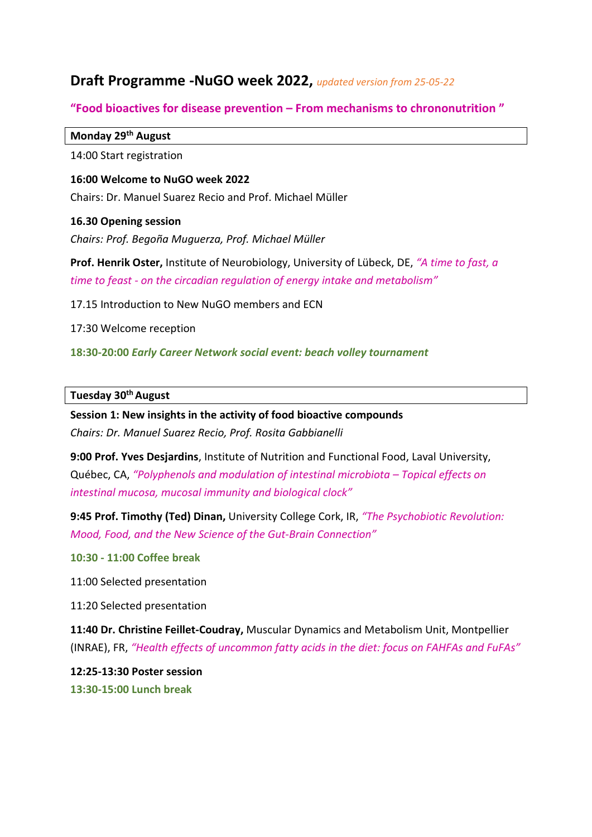# **Draft Programme -NuGO week 2022,** *updated version from 25-05-22*

# **"Food bioactives for disease prevention – From mechanisms to chrononutrition "**

## **Monday 29th August**

14:00 Start registration

**16:00 Welcome to NuGO week 2022** Chairs: Dr. Manuel Suarez Recio and Prof. Michael Müller

## **16.30 Opening session**

*Chairs: Prof. Begoña Muguerza, Prof. Michael Müller*

**Prof. Henrik Oster,** Institute of Neurobiology, University of Lübeck, DE, *"A time to fast, a time to feast - on the circadian regulation of energy intake and metabolism"*

17.15 Introduction to New NuGO members and ECN

17:30 Welcome reception

**18:30-20:00** *Early Career Network social event: beach volley tournament*

# **Tuesday 30th August**

**Session 1: New insights in the activity of food bioactive compounds** *Chairs: Dr. Manuel Suarez Recio, Prof. Rosita Gabbianelli*

**9:00 Prof. Yves Desjardins**, Institute of Nutrition and Functional Food, Laval University, Québec, CA, *"Polyphenols and modulation of intestinal microbiota – Topical effects on intestinal mucosa, mucosal immunity and biological clock"*

**9:45 Prof. Timothy (Ted) Dinan,** University College Cork, IR, *"The Psychobiotic Revolution: Mood, Food, and the New Science of the Gut-Brain Connection"*

## **10:30 - 11:00 Coffee break**

11:00 Selected presentation

11:20 Selected presentation

**11:40 Dr. Christine Feillet-Coudray,** Muscular Dynamics and Metabolism Unit, Montpellier (INRAE), FR, *"Health effects of uncommon fatty acids in the diet: focus on FAHFAs and FuFAs"*

**12:25-13:30 Poster session 13:30-15:00 Lunch break**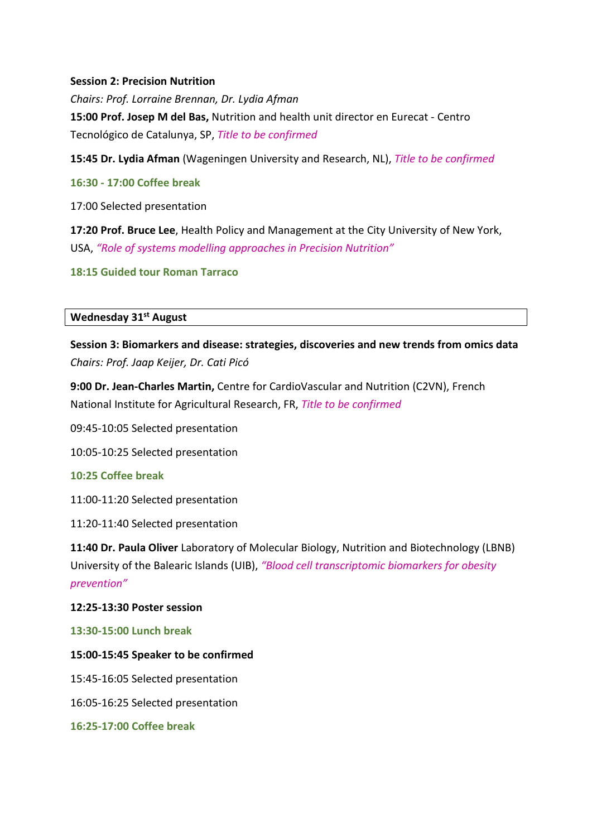## **Session 2: Precision Nutrition**

*Chairs: Prof. Lorraine Brennan, Dr. Lydia Afman* **15:00 Prof. Josep M del Bas,** Nutrition and health unit director en Eurecat - Centro Tecnológico de Catalunya, SP, *Title to be confirmed*

**15:45 Dr. Lydia Afman** (Wageningen University and Research, NL), *Title to be confirmed*

**16:30 - 17:00 Coffee break**

17:00 Selected presentation

**17:20 Prof. Bruce Lee**, Health Policy and Management at the City University of New York, USA, *"Role of systems modelling approaches in Precision Nutrition"*

**18:15 Guided tour Roman Tarraco**

#### **Wednesday 31st August**

**Session 3: Biomarkers and disease: strategies, discoveries and new trends from omics data** *Chairs: Prof. Jaap Keijer, Dr. Cati Picó*

**9:00 Dr. Jean-Charles Martin,** Centre for CardioVascular and Nutrition (C2VN), French National Institute for Agricultural Research, FR, *Title to be confirmed*

09:45-10:05 Selected presentation

10:05-10:25 Selected presentation

#### **10:25 Coffee break**

11:00-11:20 Selected presentation

11:20-11:40 Selected presentation

**11:40 Dr. Paula Oliver** Laboratory of Molecular Biology, Nutrition and Biotechnology (LBNB) University of the Balearic Islands (UIB), *"Blood cell transcriptomic biomarkers for obesity prevention"*

#### **12:25-13:30 Poster session**

**13:30-15:00 Lunch break** 

#### **15:00-15:45 Speaker to be confirmed**

15:45-16:05 Selected presentation

16:05-16:25 Selected presentation

**16:25-17:00 Coffee break**